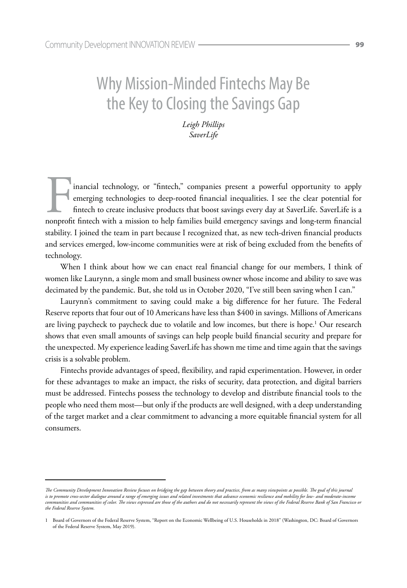# Why Mission-Minded Fintechs May Be the Key to Closing the Savings Gap

*Leigh Phillips SaverLife*

inancial technology, or "fintech," companies present a powerful opportunity to apply emerging technologies to deep-rooted financial inequalities. I see the clear potential for fintech to create inclusive products that boost savings every day at SaverLife. SaverLife is a nonprofit fintech with a mission to help families build emergency savings and long-term financial stability. I joined the team in part because I recognized that, as new tech-driven financial products and services emerged, low-income communities were at risk of being excluded from the benefits of technology.

When I think about how we can enact real financial change for our members, I think of women like Laurynn, a single mom and small business owner whose income and ability to save was decimated by the pandemic. But, she told us in October 2020, "I've still been saving when I can."

Laurynn's commitment to saving could make a big difference for her future. The Federal Reserve reports that four out of 10 Americans have less than \$400 in savings. Millions of Americans are living paycheck to paycheck due to volatile and low incomes, but there is hope.<sup>1</sup> Our research shows that even small amounts of savings can help people build financial security and prepare for the unexpected. My experience leading SaverLife has shown me time and time again that the savings crisis is a solvable problem.

Fintechs provide advantages of speed, flexibility, and rapid experimentation. However, in order for these advantages to make an impact, the risks of security, data protection, and digital barriers must be addressed. Fintechs possess the technology to develop and distribute financial tools to the people who need them most—but only if the products are well designed, with a deep understanding of the target market and a clear commitment to advancing a more equitable financial system for all consumers.

*The Community Development Innovation Review focuses on bridging the gap between theory and practice, from as many viewpoints as possible. The goal of this journal is to promote cross-sector dialogue around a range of emerging issues and related investments that advance economic resilience and mobility for low- and moderate-income communities and communities of color. The views expressed are those of the authors and do not necessarily represent the views of the Federal Reserve Bank of San Francisco or the Federal Reserve System.*

<sup>1</sup> Board of Governors of the Federal Reserve System, "Report on the Economic Wellbeing of U.S. Households in 2018" (Washington, DC: Board of Governors of the Federal Reserve System, May 2019).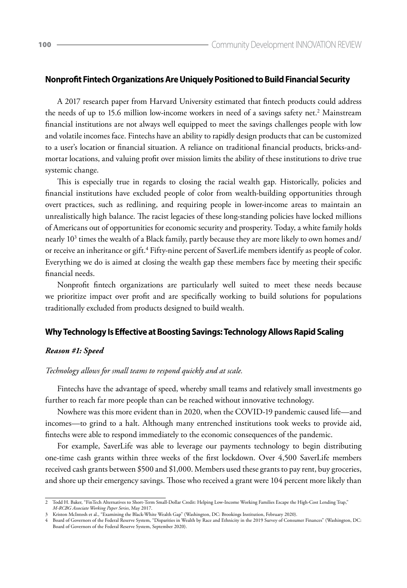## **Nonprofit Fintech Organizations Are Uniquely Positioned to Build Financial Security**

A 2017 research paper from Harvard University estimated that fintech products could address the needs of up to 15.6 million low-income workers in need of a savings safety net.<sup>2</sup> Mainstream financial institutions are not always well equipped to meet the savings challenges people with low and volatile incomes face. Fintechs have an ability to rapidly design products that can be customized to a user's location or financial situation. A reliance on traditional financial products, bricks-andmortar locations, and valuing profit over mission limits the ability of these institutions to drive true systemic change.

This is especially true in regards to closing the racial wealth gap. Historically, policies and financial institutions have excluded people of color from wealth-building opportunities through overt practices, such as redlining, and requiring people in lower-income areas to maintain an unrealistically high balance. The racist legacies of these long-standing policies have locked millions of Americans out of opportunities for economic security and prosperity. Today, a white family holds nearly 10<sup>3</sup> times the wealth of a Black family, partly because they are more likely to own homes and/ or receive an inheritance or gift.<sup>4</sup> Fifty-nine percent of SaverLife members identify as people of color. Everything we do is aimed at closing the wealth gap these members face by meeting their specific financial needs.

Nonprofit fintech organizations are particularly well suited to meet these needs because we prioritize impact over profit and are specifically working to build solutions for populations traditionally excluded from products designed to build wealth.

## **Why Technology Is Effective at Boosting Savings: Technology Allows Rapid Scaling**

#### *Reason #1: Speed*

## *Technology allows for small teams to respond quickly and at scale.*

Fintechs have the advantage of speed, whereby small teams and relatively small investments go further to reach far more people than can be reached without innovative technology.

Nowhere was this more evident than in 2020, when the COVID-19 pandemic caused life—and incomes—to grind to a halt. Although many entrenched institutions took weeks to provide aid, fintechs were able to respond immediately to the economic consequences of the pandemic.

For example, SaverLife was able to leverage our payments technology to begin distributing one-time cash grants within three weeks of the first lockdown. Over 4,500 SaverLife members received cash grants between \$500 and \$1,000. Members used these grants to pay rent, buy groceries, and shore up their emergency savings. Those who received a grant were 104 percent more likely than

<sup>2</sup> Todd H. Baker, "FinTech Alternatives to Short-Term Small-Dollar Credit: Helping Low-Income Working Families Escape the High-Cost Lending Trap," *M-RCBG Associate Working Paper Series*, May 2017.

<sup>3</sup> Kriston McIntosh et al., "Examining the Black-White Wealth Gap" (Washington, DC: Brookings Institution, February 2020).

<sup>4</sup> Board of Governors of the Federal Reserve System, "Disparities in Wealth by Race and Ethnicity in the 2019 Survey of Consumer Finances" (Washington, DC: Board of Governors of the Federal Reserve System, September 2020).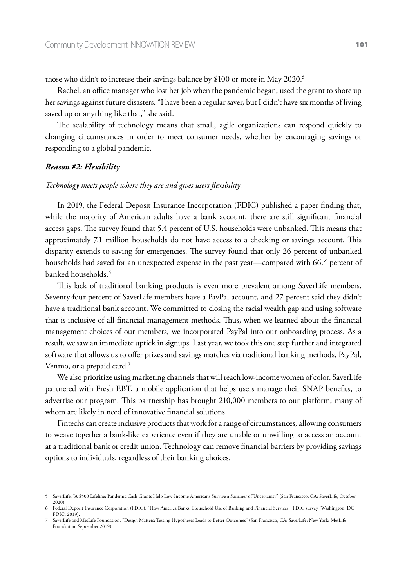those who didn't to increase their savings balance by \$100 or more in May 2020.<sup>5</sup>

Rachel, an office manager who lost her job when the pandemic began, used the grant to shore up her savings against future disasters. "I have been a regular saver, but I didn't have six months of living saved up or anything like that," she said.

The scalability of technology means that small, agile organizations can respond quickly to changing circumstances in order to meet consumer needs, whether by encouraging savings or responding to a global pandemic.

## *Reason #2: Flexibility*

## *Technology meets people where they are and gives users flexibility.*

In 2019, the Federal Deposit Insurance Incorporation (FDIC) published a paper finding that, while the majority of American adults have a bank account, there are still significant financial access gaps. The survey found that 5.4 percent of U.S. households were unbanked. This means that approximately 7.1 million households do not have access to a checking or savings account. This disparity extends to saving for emergencies. The survey found that only 26 percent of unbanked households had saved for an unexpected expense in the past year—compared with 66.4 percent of banked households.<sup>6</sup>

This lack of traditional banking products is even more prevalent among SaverLife members. Seventy-four percent of SaverLife members have a PayPal account, and 27 percent said they didn't have a traditional bank account. We committed to closing the racial wealth gap and using software that is inclusive of all financial management methods. Thus, when we learned about the financial management choices of our members, we incorporated PayPal into our onboarding process. As a result, we saw an immediate uptick in signups. Last year, we took this one step further and integrated software that allows us to offer prizes and savings matches via traditional banking methods, PayPal, Venmo, or a prepaid card.<sup>7</sup>

We also prioritize using marketing channels that will reach low-income women of color. SaverLife partnered with Fresh EBT, a mobile application that helps users manage their SNAP benefits, to advertise our program. This partnership has brought 210,000 members to our platform, many of whom are likely in need of innovative financial solutions.

Fintechs can create inclusive products that work for a range of circumstances, allowing consumers to weave together a bank-like experience even if they are unable or unwilling to access an account at a traditional bank or credit union. Technology can remove financial barriers by providing savings options to individuals, regardless of their banking choices.

<sup>5</sup> SaverLife, "A \$500 Lifeline: Pandemic Cash Grants Help Low-Income Americans Survive a Summer of Uncertainty" (San Francisco, CA: SaverLife, October 2020).

<sup>6</sup> Federal Deposit Insurance Corporation (FDIC), "How America Banks: Household Use of Banking and Financial Services." FDIC survey (Washington, DC: FDIC, 2019). 7 SaverLife and MetLife Foundation, "Design Matters: Testing Hypotheses Leads to Better Outcomes" (San Francisco, CA: SaverLife; New York: MetLife

Foundation, September 2019).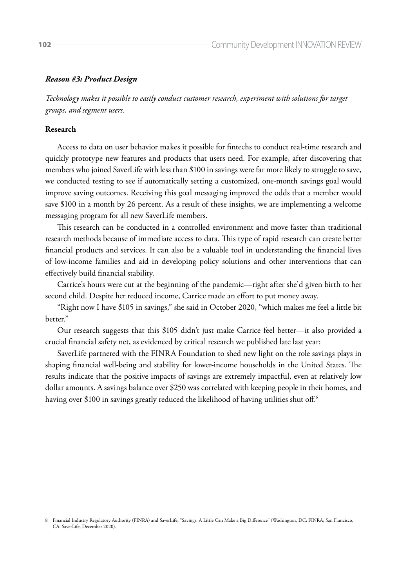## *Reason #3: Product Design*

*Technology makes it possible to easily conduct customer research, experiment with solutions for target groups, and segment users.* 

#### **Research**

Access to data on user behavior makes it possible for fintechs to conduct real-time research and quickly prototype new features and products that users need. For example, after discovering that members who joined SaverLife with less than \$100 in savings were far more likely to struggle to save, we conducted testing to see if automatically setting a customized, one-month savings goal would improve saving outcomes. Receiving this goal messaging improved the odds that a member would save \$100 in a month by 26 percent. As a result of these insights, we are implementing a welcome messaging program for all new SaverLife members.

This research can be conducted in a controlled environment and move faster than traditional research methods because of immediate access to data. This type of rapid research can create better financial products and services. It can also be a valuable tool in understanding the financial lives of low-income families and aid in developing policy solutions and other interventions that can effectively build financial stability.

Carrice's hours were cut at the beginning of the pandemic—right after she'd given birth to her second child. Despite her reduced income, Carrice made an effort to put money away.

"Right now I have \$105 in savings," she said in October 2020, "which makes me feel a little bit better."

Our research suggests that this \$105 didn't just make Carrice feel better—it also provided a crucial financial safety net, as evidenced by critical research we published late last year:

SaverLife partnered with the FINRA Foundation to shed new light on the role savings plays in shaping financial well-being and stability for lower-income households in the United States. The results indicate that the positive impacts of savings are extremely impactful, even at relatively low dollar amounts. A savings balance over \$250 was correlated with keeping people in their homes, and having over \$100 in savings greatly reduced the likelihood of having utilities shut off.<sup>8</sup>

<sup>8</sup> Financial Industry Regulatory Authority (FINRA) and SaverLife, "Savings: A Little Can Make a Big Difference" (Washington, DC: FINRA; San Francisco, CA: SaverLife, December 2020).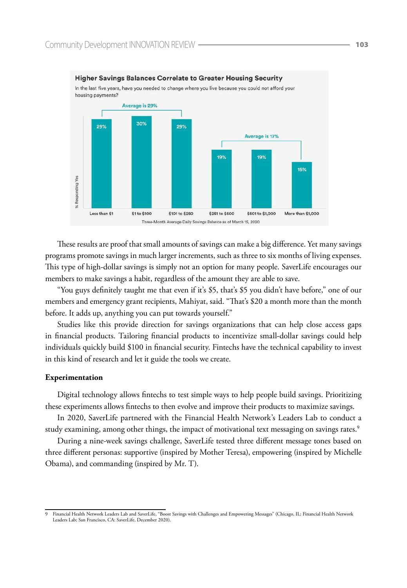

#### **Higher Savings Balances Correlate to Greater Housing Security**

These results are proof that small amounts of savings can make a big difference. Yet many savings programs promote savings in much larger increments, such as three to six months of living expenses. This type of high-dollar savings is simply not an option for many people. SaverLife encourages our members to make savings a habit, regardless of the amount they are able to save.

"You guys definitely taught me that even if it's \$5, that's \$5 you didn't have before," one of our members and emergency grant recipients, Mahiyat, said. "That's \$20 a month more than the month before. It adds up, anything you can put towards yourself."

Studies like this provide direction for savings organizations that can help close access gaps in financial products. Tailoring financial products to incentivize small-dollar savings could help individuals quickly build \$100 in financial security. Fintechs have the technical capability to invest in this kind of research and let it guide the tools we create.

#### **Experimentation**

Digital technology allows fintechs to test simple ways to help people build savings. Prioritizing these experiments allows fintechs to then evolve and improve their products to maximize savings.

In 2020, SaverLife partnered with the Financial Health Network's Leaders Lab to conduct a study examining, among other things, the impact of motivational text messaging on savings rates. $^9$ 

During a nine-week savings challenge, SaverLife tested three different message tones based on three different personas: supportive (inspired by Mother Teresa), empowering (inspired by Michelle Obama), and commanding (inspired by Mr. T).

<sup>9</sup> Financial Health Network Leaders Lab and SaverLife, "Boost Savings with Challenges and Empowering Messages" (Chicago, IL: Financial Health Network Leaders Lab; San Francisco, CA: SaverLife, December 2020).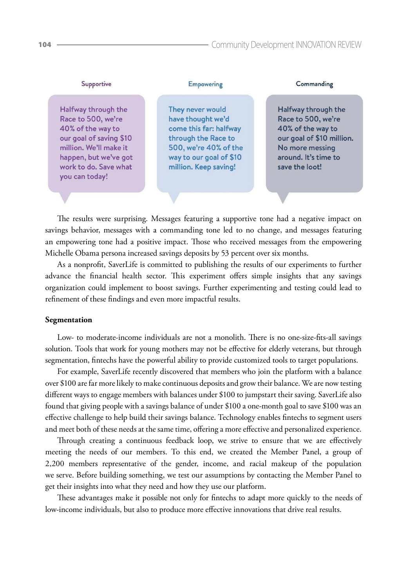| Supportive                                                                                                                                                                              | Empowering                                                                                                                                                          | Commanding                                                                                                                                               |
|-----------------------------------------------------------------------------------------------------------------------------------------------------------------------------------------|---------------------------------------------------------------------------------------------------------------------------------------------------------------------|----------------------------------------------------------------------------------------------------------------------------------------------------------|
| Halfway through the<br>Race to 500, we're<br>40% of the way to<br>our goal of saving \$10<br>million. We'll make it<br>happen, but we've got<br>work to do. Save what<br>you can today! | They never would<br>have thought we'd<br>come this far: halfway<br>through the Race to<br>500, we're 40% of the<br>way to our goal of \$10<br>million. Keep saving! | Halfway through the<br>Race to 500, we're<br>40% of the way to<br>our goal of \$10 million.<br>No more messing<br>around. It's time to<br>save the loot! |
|                                                                                                                                                                                         |                                                                                                                                                                     |                                                                                                                                                          |

The results were surprising. Messages featuring a supportive tone had a negative impact on savings behavior, messages with a commanding tone led to no change, and messages featuring an empowering tone had a positive impact. Those who received messages from the empowering Michelle Obama persona increased savings deposits by 53 percent over six months.

As a nonprofit, SaverLife is committed to publishing the results of our experiments to further advance the financial health sector. This experiment offers simple insights that any savings organization could implement to boost savings. Further experimenting and testing could lead to refinement of these findings and even more impactful results.

## **Segmentation**

Low- to moderate-income individuals are not a monolith. There is no one-size-fits-all savings solution. Tools that work for young mothers may not be effective for elderly veterans, but through segmentation, fintechs have the powerful ability to provide customized tools to target populations.

For example, SaverLife recently discovered that members who join the platform with a balance over \$100 are far more likely to make continuous deposits and grow their balance. We are now testing different ways to engage members with balances under \$100 to jumpstart their saving. SaverLife also found that giving people with a savings balance of under \$100 a one-month goal to save \$100 was an effective challenge to help build their savings balance. Technology enables fintechs to segment users and meet both of these needs at the same time, offering a more effective and personalized experience.

Through creating a continuous feedback loop, we strive to ensure that we are effectively meeting the needs of our members. To this end, we created the Member Panel, a group of 2,200 members representative of the gender, income, and racial makeup of the population we serve. Before building something, we test our assumptions by contacting the Member Panel to get their insights into what they need and how they use our platform.

These advantages make it possible not only for fintechs to adapt more quickly to the needs of low-income individuals, but also to produce more effective innovations that drive real results.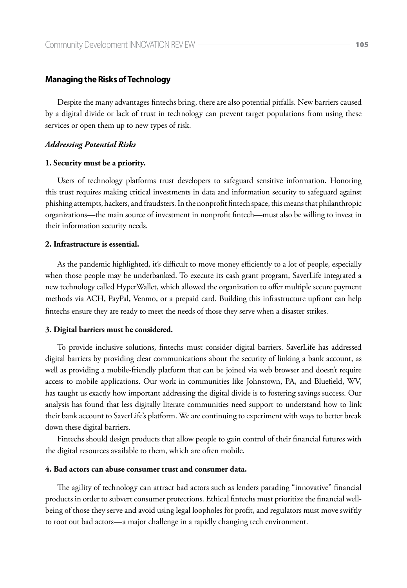## **Managing the Risks of Technology**

Despite the many advantages fintechs bring, there are also potential pitfalls. New barriers caused by a digital divide or lack of trust in technology can prevent target populations from using these services or open them up to new types of risk.

#### *Addressing Potential Risks*

#### **1. Security must be a priority.**

Users of technology platforms trust developers to safeguard sensitive information. Honoring this trust requires making critical investments in data and information security to safeguard against phishing attempts, hackers, and fraudsters. In the nonprofit fintech space, this means that philanthropic organizations—the main source of investment in nonprofit fintech—must also be willing to invest in their information security needs.

## **2. Infrastructure is essential.**

As the pandemic highlighted, it's difficult to move money efficiently to a lot of people, especially when those people may be underbanked. To execute its cash grant program, SaverLife integrated a new technology called HyperWallet, which allowed the organization to offer multiple secure payment methods via ACH, PayPal, Venmo, or a prepaid card. Building this infrastructure upfront can help fintechs ensure they are ready to meet the needs of those they serve when a disaster strikes.

#### **3. Digital barriers must be considered.**

To provide inclusive solutions, fintechs must consider digital barriers. SaverLife has addressed digital barriers by providing clear communications about the security of linking a bank account, as well as providing a mobile-friendly platform that can be joined via web browser and doesn't require access to mobile applications. Our work in communities like Johnstown, PA, and Bluefield, WV, has taught us exactly how important addressing the digital divide is to fostering savings success. Our analysis has found that less digitally literate communities need support to understand how to link their bank account to SaverLife's platform. We are continuing to experiment with ways to better break down these digital barriers.

Fintechs should design products that allow people to gain control of their financial futures with the digital resources available to them, which are often mobile.

## **4. Bad actors can abuse consumer trust and consumer data.**

The agility of technology can attract bad actors such as lenders parading "innovative" financial products in order to subvert consumer protections. Ethical fintechs must prioritize the financial wellbeing of those they serve and avoid using legal loopholes for profit, and regulators must move swiftly to root out bad actors—a major challenge in a rapidly changing tech environment.